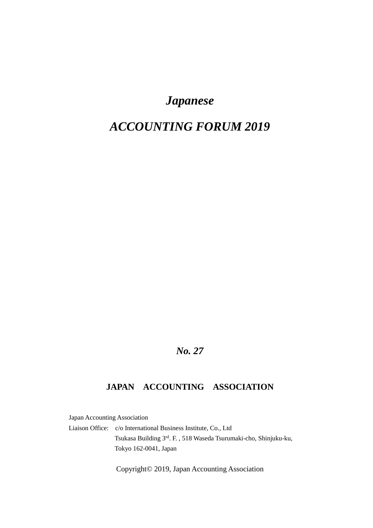# *Japanese*

# *ACCOUNTING FORUM 2019*

# *No. 27*

## **JAPAN ACCOUNTING ASSOCIATION**

Japan Accounting Association

Liaison Office: c/o International Business Institute, Co., Ltd Tsukasa Building 3rd. F. , 518 Waseda Tsurumaki-cho, Shinjuku-ku, Tokyo 162-0041, Japan

Copyright© 2019, Japan Accounting Association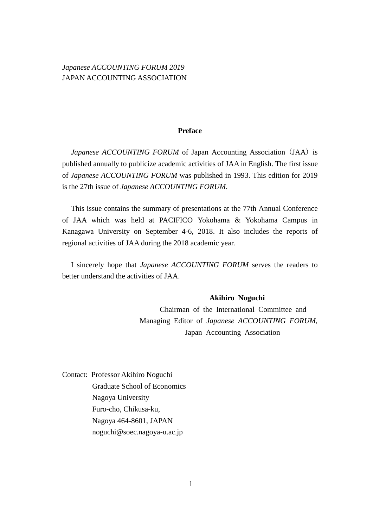## *Japanese ACCOUNTING FORUM 2019* JAPAN ACCOUNTING ASSOCIATION

#### **Preface**

*Japanese ACCOUNTING FORUM* of Japan Accounting Association (JAA) is published annually to publicize academic activities of JAA in English. The first issue of *Japanese ACCOUNTING FORUM* was published in 1993. This edition for 2019 is the 27th issue of *Japanese ACCOUNTING FORUM*.

This issue contains the summary of presentations at the 77th Annual Conference of JAA which was held at PACIFICO Yokohama & Yokohama Campus in Kanagawa University on September 4-6, 2018. It also includes the reports of regional activities of JAA during the 2018 academic year.

I sincerely hope that *Japanese ACCOUNTING FORUM* serves the readers to better understand the activities of JAA.

#### **Akihiro Noguchi**

Chairman of the International Committee and Managing Editor of *Japanese ACCOUNTING FORUM*, Japan Accounting Association

Contact: Professor Akihiro Noguchi Graduate School of Economics Nagoya University Furo-cho, Chikusa-ku, Nagoya 464-8601, JAPAN noguchi@soec.nagoya-u.ac.jp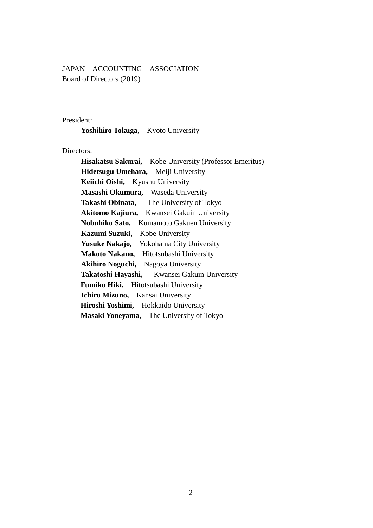JAPAN ACCOUNTING ASSOCIATION Board of Directors (2019)

#### President:

**Yoshihiro Tokuga**, Kyoto University

Directors:

 **Hisakatsu Sakurai,** Kobe University (Professor Emeritus) **Hidetsugu Umehara,** Meiji University **Keiichi Oishi,** Kyushu University **Masashi Okumura,** Waseda University **Takashi Obinata,** The University of Tokyo **Akitomo Kajiura,** Kwansei Gakuin University **Nobuhiko Sato,** Kumamoto Gakuen University **Kazumi Suzuki,** Kobe University **Yusuke Nakajo,** Yokohama City University **Makoto Nakano,** Hitotsubashi University **Akihiro Noguchi,** Nagoya University **Takatoshi Hayashi,** Kwansei Gakuin University **Fumiko Hiki,** Hitotsubashi University **Ichiro Mizuno,** Kansai University **Hiroshi Yoshimi,** Hokkaido University **Masaki Yoneyama,** The University of Tokyo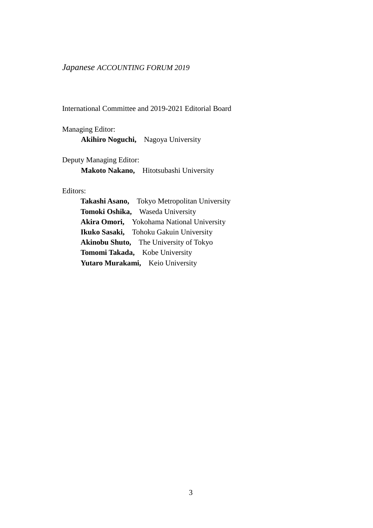## *Japanese ACCOUNTING FORUM 2019*

International Committee and 2019-2021 Editorial Board

Managing Editor: **Akihiro Noguchi,** Nagoya University

Deputy Managing Editor:

**Makoto Nakano,** Hitotsubashi University

#### Editors:

**Takashi Asano,** Tokyo Metropolitan University **Tomoki Oshika,** Waseda University **Akira Omori,** Yokohama National University **Ikuko Sasaki,** Tohoku Gakuin University **Akinobu Shuto,** The University of Tokyo **Tomomi Takada,** Kobe University **Yutaro Murakami,** Keio University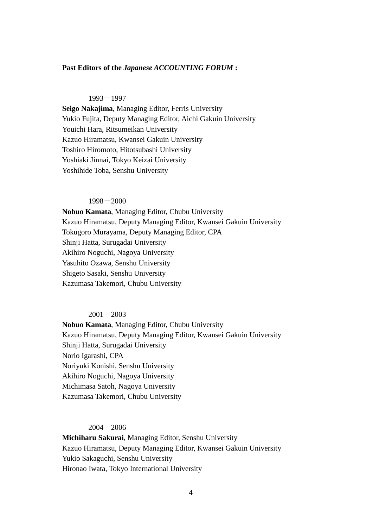#### **Past Editors of the** *Japanese ACCOUNTING FORUM* **:**

#### $1993 - 1997$

**Seigo Nakajima**, Managing Editor, Ferris University Yukio Fujita, Deputy Managing Editor, Aichi Gakuin University Youichi Hara, Ritsumeikan University Kazuo Hiramatsu, Kwansei Gakuin University Toshiro Hiromoto, Hitotsubashi University Yoshiaki Jinnai, Tokyo Keizai University Yoshihide Toba, Senshu University

#### 1998-2000

**Nobuo Kamata**, Managing Editor, Chubu University Kazuo Hiramatsu, Deputy Managing Editor, Kwansei Gakuin University Tokugoro Murayama, Deputy Managing Editor, CPA Shinji Hatta, Surugadai University Akihiro Noguchi, Nagoya University Yasuhito Ozawa, Senshu University Shigeto Sasaki, Senshu University Kazumasa Takemori, Chubu University

#### $2001 - 2003$

**Nobuo Kamata**, Managing Editor, Chubu University Kazuo Hiramatsu, Deputy Managing Editor, Kwansei Gakuin University Shinji Hatta, Surugadai University Norio Igarashi, CPA Noriyuki Konishi, Senshu University Akihiro Noguchi, Nagoya University Michimasa Satoh, Nagoya University Kazumasa Takemori, Chubu University

#### $2004 - 2006$

**Michiharu Sakurai**, Managing Editor, Senshu University Kazuo Hiramatsu, Deputy Managing Editor, Kwansei Gakuin University Yukio Sakaguchi, Senshu University Hironao Iwata, Tokyo International University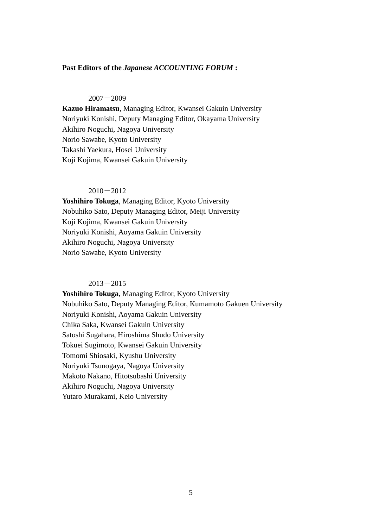#### **Past Editors of the** *Japanese ACCOUNTING FORUM* **:**

#### $2007 - 2009$

**Kazuo Hiramatsu**, Managing Editor, Kwansei Gakuin University Noriyuki Konishi, Deputy Managing Editor, Okayama University Akihiro Noguchi, Nagoya University Norio Sawabe, Kyoto University Takashi Yaekura, Hosei University Koji Kojima, Kwansei Gakuin University

#### $2010 - 2012$

**Yoshihiro Tokuga**, Managing Editor, Kyoto University Nobuhiko Sato, Deputy Managing Editor, Meiji University Koji Kojima, Kwansei Gakuin University Noriyuki Konishi, Aoyama Gakuin University Akihiro Noguchi, Nagoya University Norio Sawabe, Kyoto University

#### $2013 - 2015$

**Yoshihiro Tokuga**, Managing Editor, Kyoto University Nobuhiko Sato, Deputy Managing Editor, Kumamoto Gakuen University Noriyuki Konishi, Aoyama Gakuin University Chika Saka, Kwansei Gakuin University Satoshi Sugahara, Hiroshima Shudo University Tokuei Sugimoto, Kwansei Gakuin University Tomomi Shiosaki, Kyushu University Noriyuki Tsunogaya, Nagoya University Makoto Nakano, Hitotsubashi University Akihiro Noguchi, Nagoya University Yutaro Murakami, Keio University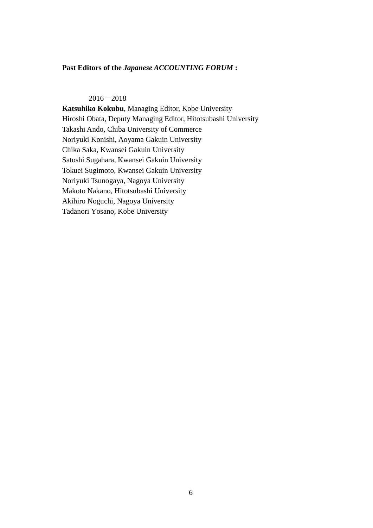#### **Past Editors of the** *Japanese ACCOUNTING FORUM* **:**

#### $2016 - 2018$

**Katsuhiko Kokubu**, Managing Editor, Kobe University Hiroshi Obata, Deputy Managing Editor, Hitotsubashi University Takashi Ando, Chiba University of Commerce Noriyuki Konishi, Aoyama Gakuin University Chika Saka, Kwansei Gakuin University Satoshi Sugahara, Kwansei Gakuin University Tokuei Sugimoto, Kwansei Gakuin University Noriyuki Tsunogaya, Nagoya University Makoto Nakano, Hitotsubashi University Akihiro Noguchi, Nagoya University Tadanori Yosano, Kobe University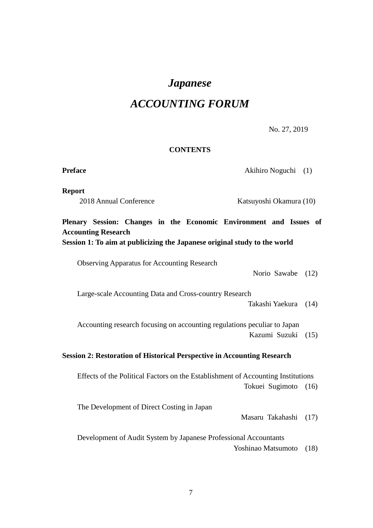# *Japanese ACCOUNTING FORUM*

No. 27, 2019

#### **CONTENTS**

**Preface** Akihiro Noguchi (1)

**Report** 

2018 Annual Conference Katsuyoshi Okamura (10)

## **Plenary Session: Changes in the Economic Environment and Issues of Accounting Research Session 1: To aim at publicizing the Japanese original study to the world**

Observing Apparatus for Accounting Research

Norio Sawabe (12)

Large-scale Accounting Data and Cross-country Research

Takashi Yaekura (14)

Accounting research focusing on accounting regulations peculiar to Japan Kazumi Suzuki (15)

#### **Session 2: Restoration of Historical Perspective in Accounting Research**

Effects of the Political Factors on the Establishment of Accounting Institutions Tokuei Sugimoto (16)

The Development of Direct Costing in Japan

Masaru Takahashi (17)

 Development of Audit System by Japanese Professional Accountants Yoshinao Matsumoto (18)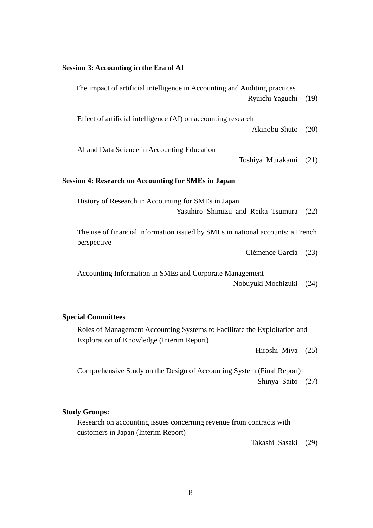#### **Session 3: Accounting in the Era of AI**

The impact of artificial intelligence in Accounting and Auditing practices Ryuichi Yaguchi (19)

Effect of artificial intelligence (AI) on accounting research

Akinobu Shuto (20)

AI and Data Science in Accounting Education

Toshiya Murakami (21)

#### **Session 4: Research on Accounting for SMEs in Japan**

History of Research in Accounting for SMEs in Japan Yasuhiro Shimizu and Reika Tsumura (22)

The use of financial information issued by SMEs in national accounts: a French perspective

Clémence Garcia (23)

Accounting Information in SMEs and Corporate Management Nobuyuki Mochizuki (24)

#### **Special Committees**

Roles of Management Accounting Systems to Facilitate the Exploitation and Exploration of Knowledge (Interim Report)

Hiroshi Miya (25)

Comprehensive Study on the Design of Accounting System (Final Report) Shinya Saito (27)

#### **Study Groups:**

Research on accounting issues concerning revenue from contracts with customers in Japan (Interim Report)

Takashi Sasaki (29)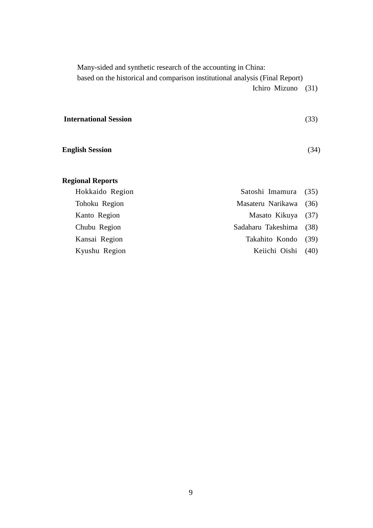Many-sided and synthetic research of the accounting in China:

based on the historical and comparison institutional analysis (Final Report)

Ichiro Mizuno (31)

| <b>International Session</b> | (33) |
|------------------------------|------|
| <b>English Session</b>       | (34) |
|                              |      |

## **Regional Reports**

| Hokkaido Region | Satoshi Imamura (35)    |  |
|-----------------|-------------------------|--|
| Tohoku Region   | Masateru Narikawa (36)  |  |
| Kanto Region    | Masato Kikuya (37)      |  |
| Chubu Region    | Sadaharu Takeshima (38) |  |
| Kansai Region   | Takahito Kondo (39)     |  |
| Kyushu Region   | Keiichi Oishi (40)      |  |
|                 |                         |  |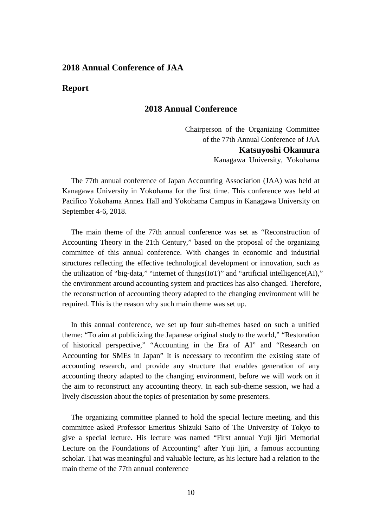#### **2018 Annual Conference of JAA**

#### **Report**

### **2018 Annual Conference**

Chairperson of the Organizing Committee of the 77th Annual Conference of JAA **Katsuyoshi Okamura** Kanagawa University, Yokohama

The 77th annual conference of Japan Accounting Association (JAA) was held at Kanagawa University in Yokohama for the first time. This conference was held at Pacifico Yokohama Annex Hall and Yokohama Campus in Kanagawa University on September 4-6, 2018.

The main theme of the 77th annual conference was set as "Reconstruction of Accounting Theory in the 21th Century," based on the proposal of the organizing committee of this annual conference. With changes in economic and industrial structures reflecting the effective technological development or innovation, such as the utilization of "big-data," "internet of things(IoT)" and "artificial intelligence(AI)," the environment around accounting system and practices has also changed. Therefore, the reconstruction of accounting theory adapted to the changing environment will be required. This is the reason why such main theme was set up.

In this annual conference, we set up four sub-themes based on such a unified theme: "To aim at publicizing the Japanese original study to the world," "Restoration of historical perspective," "Accounting in the Era of AI" and "Research on Accounting for SMEs in Japan" It is necessary to reconfirm the existing state of accounting research, and provide any structure that enables generation of any accounting theory adapted to the changing environment, before we will work on it the aim to reconstruct any accounting theory. In each sub-theme session, we had a lively discussion about the topics of presentation by some presenters.

The organizing committee planned to hold the special lecture meeting, and this committee asked Professor Emeritus Shizuki Saito of The University of Tokyo to give a special lecture. His lecture was named "First annual Yuji Ijiri Memorial Lecture on the Foundations of Accounting" after Yuji Ijiri, a famous accounting scholar. That was meaningful and valuable lecture, as his lecture had a relation to the main theme of the 77th annual conference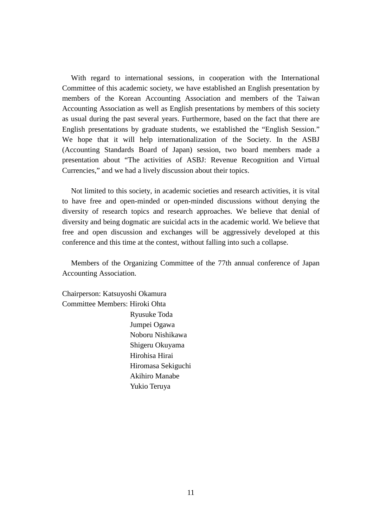With regard to international sessions, in cooperation with the International Committee of this academic society, we have established an English presentation by members of the Korean Accounting Association and members of the Taiwan Accounting Association as well as English presentations by members of this society as usual during the past several years. Furthermore, based on the fact that there are English presentations by graduate students, we established the "English Session." We hope that it will help internationalization of the Society. In the ASBJ (Accounting Standards Board of Japan) session, two board members made a presentation about "The activities of ASBJ: Revenue Recognition and Virtual Currencies," and we had a lively discussion about their topics.

Not limited to this society, in academic societies and research activities, it is vital to have free and open-minded or open-minded discussions without denying the diversity of research topics and research approaches. We believe that denial of diversity and being dogmatic are suicidal acts in the academic world. We believe that free and open discussion and exchanges will be aggressively developed at this conference and this time at the contest, without falling into such a collapse.

Members of the Organizing Committee of the 77th annual conference of Japan Accounting Association.

Chairperson: Katsuyoshi Okamura Committee Members: Hiroki Ohta Ryusuke Toda Jumpei Ogawa Noboru Nishikawa Shigeru Okuyama Hirohisa Hirai Hiromasa Sekiguchi Akihiro Manabe Yukio Teruya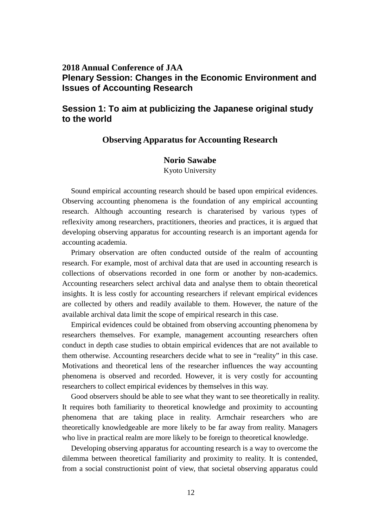## **2018 Annual Conference of JAA Plenary Session: Changes in the Economic Environment and Issues of Accounting Research**

## **Session 1: To aim at publicizing the Japanese original study to the world**

#### **Observing Apparatus for Accounting Research**

#### **Norio Sawabe**

Kyoto University

Sound empirical accounting research should be based upon empirical evidences. Observing accounting phenomena is the foundation of any empirical accounting research. Although accounting research is charaterised by various types of reflexivity among researchers, practitioners, theories and practices, it is argued that developing observing apparatus for accounting research is an important agenda for accounting academia.

Primary observation are often conducted outside of the realm of accounting research. For example, most of archival data that are used in accounting research is collections of observations recorded in one form or another by non-academics. Accounting researchers select archival data and analyse them to obtain theoretical insights. It is less costly for accounting researchers if relevant empirical evidences are collected by others and readily available to them. However, the nature of the available archival data limit the scope of empirical research in this case.

Empirical evidences could be obtained from observing accounting phenomena by researchers themselves. For example, management accounting researchers often conduct in depth case studies to obtain empirical evidences that are not available to them otherwise. Accounting researchers decide what to see in "reality" in this case. Motivations and theoretical lens of the researcher influences the way accounting phenomena is observed and recorded. However, it is very costly for accounting researchers to collect empirical evidences by themselves in this way.

Good observers should be able to see what they want to see theoretically in reality. It requires both familiarity to theoretical knowledge and proximity to accounting phenomena that are taking place in reality. Armchair researchers who are theoretically knowledgeable are more likely to be far away from reality. Managers who live in practical realm are more likely to be foreign to theoretical knowledge.

Developing observing apparatus for accounting research is a way to overcome the dilemma between theoretical familiarity and proximity to reality. It is contended, from a social constructionist point of view, that societal observing apparatus could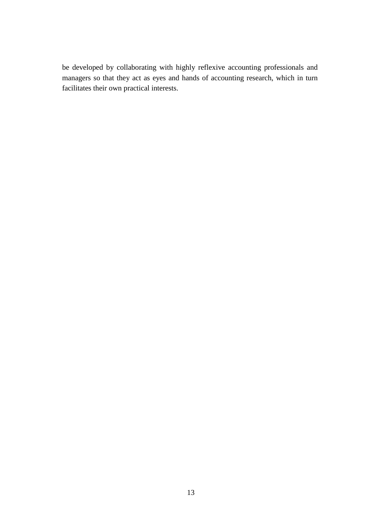be developed by collaborating with highly reflexive accounting professionals and managers so that they act as eyes and hands of accounting research, which in turn facilitates their own practical interests.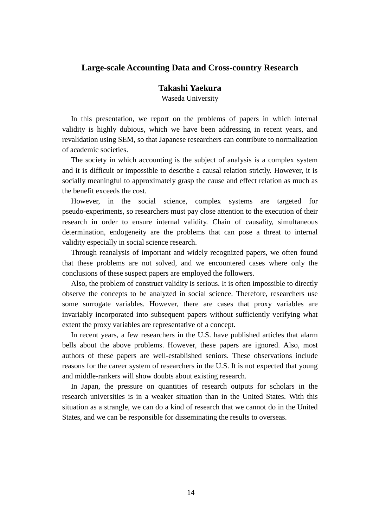## **Large-scale Accounting Data and Cross-country Research**

**Takashi Yaekura**

Waseda University

In this presentation, we report on the problems of papers in which internal validity is highly dubious, which we have been addressing in recent years, and revalidation using SEM, so that Japanese researchers can contribute to normalization of academic societies.

The society in which accounting is the subject of analysis is a complex system and it is difficult or impossible to describe a causal relation strictly. However, it is socially meaningful to approximately grasp the cause and effect relation as much as the benefit exceeds the cost.

However, in the social science, complex systems are targeted for pseudo-experiments, so researchers must pay close attention to the execution of their research in order to ensure internal validity. Chain of causality, simultaneous determination, endogeneity are the problems that can pose a threat to internal validity especially in social science research.

Through reanalysis of important and widely recognized papers, we often found that these problems are not solved, and we encountered cases where only the conclusions of these suspect papers are employed the followers.

Also, the problem of construct validity is serious. It is often impossible to directly observe the concepts to be analyzed in social science. Therefore, researchers use some surrogate variables. However, there are cases that proxy variables are invariably incorporated into subsequent papers without sufficiently verifying what extent the proxy variables are representative of a concept.

In recent years, a few researchers in the U.S. have published articles that alarm bells about the above problems. However, these papers are ignored. Also, most authors of these papers are well-established seniors. These observations include reasons for the career system of researchers in the U.S. It is not expected that young and middle-rankers will show doubts about existing research.

In Japan, the pressure on quantities of research outputs for scholars in the research universities is in a weaker situation than in the United States. With this situation as a strangle, we can do a kind of research that we cannot do in the United States, and we can be responsible for disseminating the results to overseas.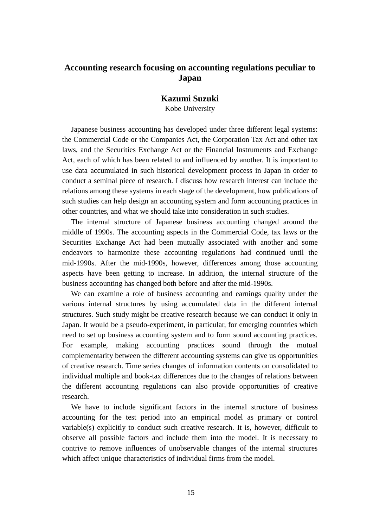## **Accounting research focusing on accounting regulations peculiar to Japan**

#### **Kazumi Suzuki**

Kobe University

Japanese business accounting has developed under three different legal systems: the Commercial Code or the Companies Act, the Corporation Tax Act and other tax laws, and the Securities Exchange Act or the Financial Instruments and Exchange Act, each of which has been related to and influenced by another. It is important to use data accumulated in such historical development process in Japan in order to conduct a seminal piece of research. I discuss how research interest can include the relations among these systems in each stage of the development, how publications of such studies can help design an accounting system and form accounting practices in other countries, and what we should take into consideration in such studies.

The internal structure of Japanese business accounting changed around the middle of 1990s. The accounting aspects in the Commercial Code, tax laws or the Securities Exchange Act had been mutually associated with another and some endeavors to harmonize these accounting regulations had continued until the mid-1990s. After the mid-1990s, however, differences among those accounting aspects have been getting to increase. In addition, the internal structure of the business accounting has changed both before and after the mid-1990s.

We can examine a role of business accounting and earnings quality under the various internal structures by using accumulated data in the different internal structures. Such study might be creative research because we can conduct it only in Japan. It would be a pseudo-experiment, in particular, for emerging countries which need to set up business accounting system and to form sound accounting practices. For example, making accounting practices sound through the mutual complementarity between the different accounting systems can give us opportunities of creative research. Time series changes of information contents on consolidated to individual multiple and book-tax differences due to the changes of relations between the different accounting regulations can also provide opportunities of creative research.

We have to include significant factors in the internal structure of business accounting for the test period into an empirical model as primary or control variable(s) explicitly to conduct such creative research. It is, however, difficult to observe all possible factors and include them into the model. It is necessary to contrive to remove influences of unobservable changes of the internal structures which affect unique characteristics of individual firms from the model.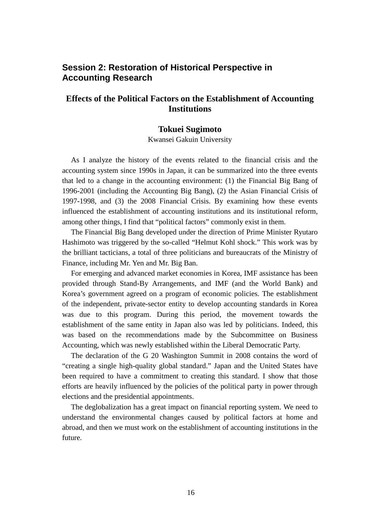## **Session 2: Restoration of Historical Perspective in Accounting Research**

## **Effects of the Political Factors on the Establishment of Accounting Institutions**

#### **Tokuei Sugimoto**

Kwansei Gakuin University

As I analyze the history of the events related to the financial crisis and the accounting system since 1990s in Japan, it can be summarized into the three events that led to a change in the accounting environment: (1) the Financial Big Bang of 1996-2001 (including the Accounting Big Bang), (2) the Asian Financial Crisis of 1997-1998, and (3) the 2008 Financial Crisis. By examining how these events influenced the establishment of accounting institutions and its institutional reform, among other things, I find that "political factors" commonly exist in them.

The Financial Big Bang developed under the direction of Prime Minister Ryutaro Hashimoto was triggered by the so-called "Helmut Kohl shock." This work was by the brilliant tacticians, a total of three politicians and bureaucrats of the Ministry of Finance, including Mr. Yen and Mr. Big Ban.

For emerging and advanced market economies in Korea, IMF assistance has been provided through Stand-By Arrangements, and IMF (and the World Bank) and Korea's government agreed on a program of economic policies. The establishment of the independent, private-sector entity to develop accounting standards in Korea was due to this program. During this period, the movement towards the establishment of the same entity in Japan also was led by politicians. Indeed, this was based on the recommendations made by the Subcommittee on Business Accounting, which was newly established within the Liberal Democratic Party.

The declaration of the G 20 Washington Summit in 2008 contains the word of "creating a single high-quality global standard." Japan and the United States have been required to have a commitment to creating this standard. I show that those efforts are heavily influenced by the policies of the political party in power through elections and the presidential appointments.

The deglobalization has a great impact on financial reporting system. We need to understand the environmental changes caused by political factors at home and abroad, and then we must work on the establishment of accounting institutions in the future.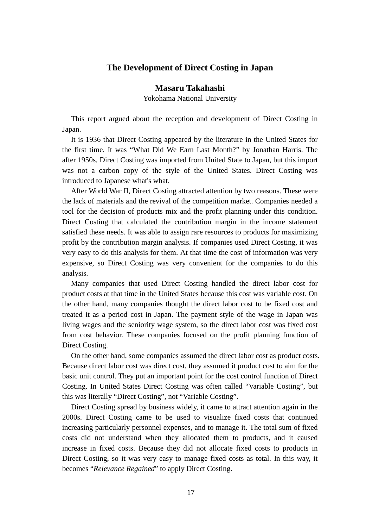#### **The Development of Direct Costing in Japan**

**Masaru Takahashi**

Yokohama National University

This report argued about the reception and development of Direct Costing in Japan.

It is 1936 that Direct Costing appeared by the literature in the United States for the first time. It was "What Did We Earn Last Month?" by Jonathan Harris. The after 1950s, Direct Costing was imported from United State to Japan, but this import was not a carbon copy of the style of the United States. Direct Costing was introduced to Japanese what's what.

After World War II, Direct Costing attracted attention by two reasons. These were the lack of materials and the revival of the competition market. Companies needed a tool for the decision of products mix and the profit planning under this condition. Direct Costing that calculated the contribution margin in the income statement satisfied these needs. It was able to assign rare resources to products for maximizing profit by the contribution margin analysis. If companies used Direct Costing, it was very easy to do this analysis for them. At that time the cost of information was very expensive, so Direct Costing was very convenient for the companies to do this analysis.

Many companies that used Direct Costing handled the direct labor cost for product costs at that time in the United States because this cost was variable cost. On the other hand, many companies thought the direct labor cost to be fixed cost and treated it as a period cost in Japan. The payment style of the wage in Japan was living wages and the seniority wage system, so the direct labor cost was fixed cost from cost behavior. These companies focused on the profit planning function of Direct Costing.

On the other hand, some companies assumed the direct labor cost as product costs. Because direct labor cost was direct cost, they assumed it product cost to aim for the basic unit control. They put an important point for the cost control function of Direct Costing. In United States Direct Costing was often called "Variable Costing", but this was literally "Direct Costing", not "Variable Costing".

Direct Costing spread by business widely, it came to attract attention again in the 2000s. Direct Costing came to be used to visualize fixed costs that continued increasing particularly personnel expenses, and to manage it. The total sum of fixed costs did not understand when they allocated them to products, and it caused increase in fixed costs. Because they did not allocate fixed costs to products in Direct Costing, so it was very easy to manage fixed costs as total. In this way, it becomes "*Relevance Regained*" to apply Direct Costing.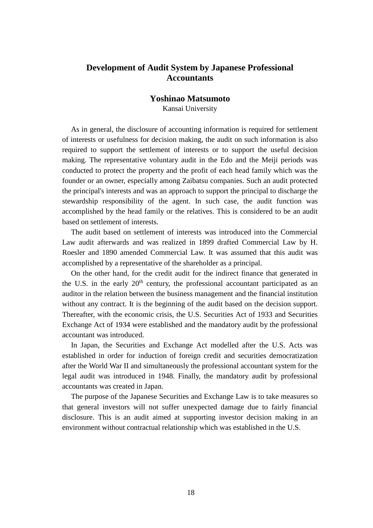## **Development of Audit System by Japanese Professional Accountants**

#### **Yoshinao Matsumoto**

Kansai University

As in general, the disclosure of accounting information is required for settlement of interests or usefulness for decision making, the audit on such information is also required to support the settlement of interests or to support the useful decision making. The representative voluntary audit in the Edo and the Meiji periods was conducted to protect the property and the profit of each head family which was the founder or an owner, especially among Zaibatsu companies. Such an audit protected the principal's interests and was an approach to support the principal to discharge the stewardship responsibility of the agent. In such case, the audit function was accomplished by the head family or the relatives. This is considered to be an audit based on settlement of interests.

The audit based on settlement of interests was introduced into the Commercial Law audit afterwards and was realized in 1899 drafted Commercial Law by H. Roesler and 1890 amended Commercial Law. It was assumed that this audit was accomplished by a representative of the shareholder as a principal.

On the other hand, for the credit audit for the indirect finance that generated in the U.S. in the early  $20<sup>th</sup>$  century, the professional accountant participated as an auditor in the relation between the business management and the financial institution without any contract. It is the beginning of the audit based on the decision support. Thereafter, with the economic crisis, the U.S. Securities Act of 1933 and Securities Exchange Act of 1934 were established and the mandatory audit by the professional accountant was introduced.

In Japan, the Securities and Exchange Act modelled after the U.S. Acts was established in order for induction of foreign credit and securities democratization after the World War II and simultaneously the professional accountant system for the legal audit was introduced in 1948. Finally, the mandatory audit by professional accountants was created in Japan.

The purpose of the Japanese Securities and Exchange Law is to take measures so that general investors will not suffer unexpected damage due to fairly financial disclosure. This is an audit aimed at supporting investor decision making in an environment without contractual relationship which was established in the U.S.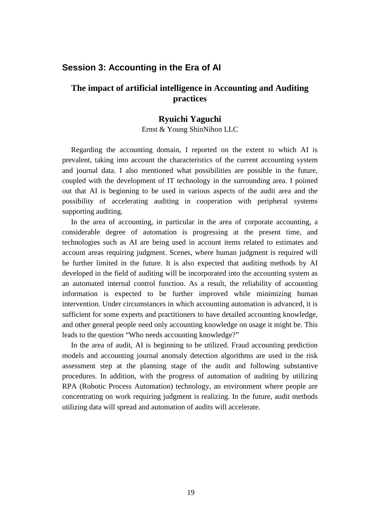## **Session 3: Accounting in the Era of AI**

## **The impact of artificial intelligence in Accounting and Auditing practices**

#### **Ryuichi Yaguchi**

Ernst & Young ShinNihon LLC

Regarding the accounting domain, I reported on the extent to which AI is prevalent, taking into account the characteristics of the current accounting system and journal data. I also mentioned what possibilities are possible in the future, coupled with the development of IT technology in the surrounding area. I pointed out that AI is beginning to be used in various aspects of the audit area and the possibility of accelerating auditing in cooperation with peripheral systems supporting auditing.

In the area of accounting, in particular in the area of corporate accounting, a considerable degree of automation is progressing at the present time, and technologies such as AI are being used in account items related to estimates and account areas requiring judgment. Scenes, where human judgment is required will be further limited in the future. It is also expected that auditing methods by AI developed in the field of auditing will be incorporated into the accounting system as an automated internal control function. As a result, the reliability of accounting information is expected to be further improved while minimizing human intervention. Under circumstances in which accounting automation is advanced, it is sufficient for some experts and practitioners to have detailed accounting knowledge, and other general people need only accounting knowledge on usage it might be. This leads to the question "Who needs accounting knowledge?"

In the area of audit, AI is beginning to be utilized. Fraud accounting prediction models and accounting journal anomaly detection algorithms are used in the risk assessment step at the planning stage of the audit and following substantive procedures. In addition, with the progress of automation of auditing by utilizing RPA (Robotic Process Automation) technology, an environment where people are concentrating on work requiring judgment is realizing. In the future, audit methods utilizing data will spread and automation of audits will accelerate.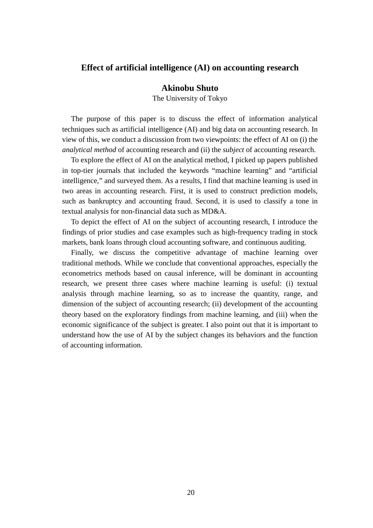#### **Effect of artificial intelligence (AI) on accounting research**

#### **Akinobu Shuto**

The University of Tokyo

The purpose of this paper is to discuss the effect of information analytical techniques such as artificial intelligence (AI) and big data on accounting research. In view of this, we conduct a discussion from two viewpoints: the effect of AI on (i) the *analytical method* of accounting research and (ii) the *subject* of accounting research.

To explore the effect of AI on the analytical method, I picked up papers published in top-tier journals that included the keywords "machine learning" and "artificial intelligence," and surveyed them. As a results, I find that machine learning is used in two areas in accounting research. First, it is used to construct prediction models, such as bankruptcy and accounting fraud. Second, it is used to classify a tone in textual analysis for non-financial data such as MD&A.

To depict the effect of AI on the subject of accounting research, I introduce the findings of prior studies and case examples such as high-frequency trading in stock markets, bank loans through cloud accounting software, and continuous auditing.

Finally, we discuss the competitive advantage of machine learning over traditional methods. While we conclude that conventional approaches, especially the econometrics methods based on causal inference, will be dominant in accounting research, we present three cases where machine learning is useful: (i) textual analysis through machine learning, so as to increase the quantity, range, and dimension of the subject of accounting research; (ii) development of the accounting theory based on the exploratory findings from machine learning, and (iii) when the economic significance of the subject is greater. I also point out that it is important to understand how the use of AI by the subject changes its behaviors and the function of accounting information.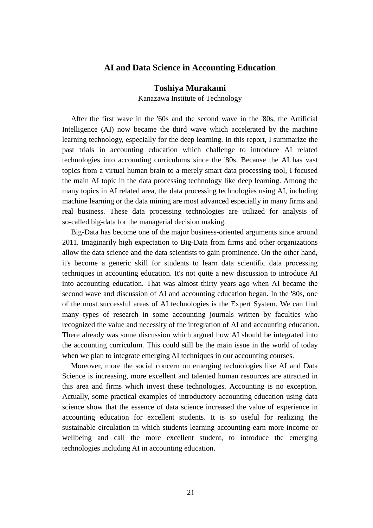## **AI and Data Science in Accounting Education**

#### **Toshiya Murakami**

Kanazawa Institute of Technology

After the first wave in the '60s and the second wave in the '80s, the Artificial Intelligence (AI) now became the third wave which accelerated by the machine learning technology, especially for the deep learning. In this report, I summarize the past trials in accounting education which challenge to introduce AI related technologies into accounting curriculums since the '80s. Because the AI has vast topics from a virtual human brain to a merely smart data processing tool, I focused the main AI topic in the data processing technology like deep learning. Among the many topics in AI related area, the data processing technologies using AI, including machine learning or the data mining are most advanced especially in many firms and real business. These data processing technologies are utilized for analysis of so-called big-data for the managerial decision making.

Big-Data has become one of the major business-oriented arguments since around 2011. Imaginarily high expectation to Big-Data from firms and other organizations allow the data science and the data scientists to gain prominence. On the other hand, it's become a generic skill for students to learn data scientific data processing techniques in accounting education. It's not quite a new discussion to introduce AI into accounting education. That was almost thirty years ago when AI became the second wave and discussion of AI and accounting education began. In the '80s, one of the most successful areas of AI technologies is the Expert System. We can find many types of research in some accounting journals written by faculties who recognized the value and necessity of the integration of AI and accounting education. There already was some discussion which argued how AI should be integrated into the accounting curriculum. This could still be the main issue in the world of today when we plan to integrate emerging AI techniques in our accounting courses.

Moreover, more the social concern on emerging technologies like AI and Data Science is increasing, more excellent and talented human resources are attracted in this area and firms which invest these technologies. Accounting is no exception. Actually, some practical examples of introductory accounting education using data science show that the essence of data science increased the value of experience in accounting education for excellent students. It is so useful for realizing the sustainable circulation in which students learning accounting earn more income or wellbeing and call the more excellent student, to introduce the emerging technologies including AI in accounting education.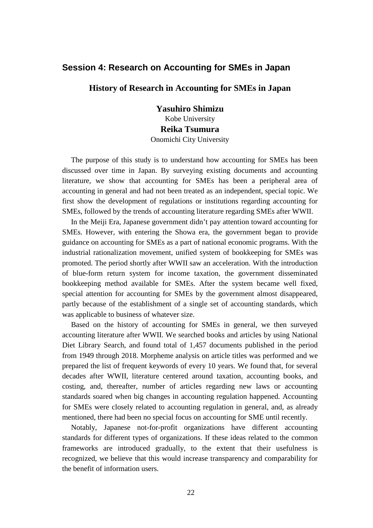### **Session 4: Research on Accounting for SMEs in Japan**

#### **History of Research in Accounting for SMEs in Japan**

**Yasuhiro Shimizu** Kobe University **Reika Tsumura** Onomichi City University

The purpose of this study is to understand how accounting for SMEs has been discussed over time in Japan. By surveying existing documents and accounting literature, we show that accounting for SMEs has been a peripheral area of accounting in general and had not been treated as an independent, special topic. We first show the development of regulations or institutions regarding accounting for SMEs, followed by the trends of accounting literature regarding SMEs after WWII.

In the Meiji Era, Japanese government didn't pay attention toward accounting for SMEs. However, with entering the Showa era, the government began to provide guidance on accounting for SMEs as a part of national economic programs. With the industrial rationalization movement, unified system of bookkeeping for SMEs was promoted. The period shortly after WWII saw an acceleration. With the introduction of blue-form return system for income taxation, the government disseminated bookkeeping method available for SMEs. After the system became well fixed, special attention for accounting for SMEs by the government almost disappeared, partly because of the establishment of a single set of accounting standards, which was applicable to business of whatever size.

Based on the history of accounting for SMEs in general, we then surveyed accounting literature after WWII. We searched books and articles by using National Diet Library Search, and found total of 1,457 documents published in the period from 1949 through 2018. Morpheme analysis on article titles was performed and we prepared the list of frequent keywords of every 10 years. We found that, for several decades after WWII, literature centered around taxation, accounting books, and costing, and, thereafter, number of articles regarding new laws or accounting standards soared when big changes in accounting regulation happened. Accounting for SMEs were closely related to accounting regulation in general, and, as already mentioned, there had been no special focus on accounting for SME until recently.

Notably, Japanese not-for-profit organizations have different accounting standards for different types of organizations. If these ideas related to the common frameworks are introduced gradually, to the extent that their usefulness is recognized, we believe that this would increase transparency and comparability for the benefit of information users.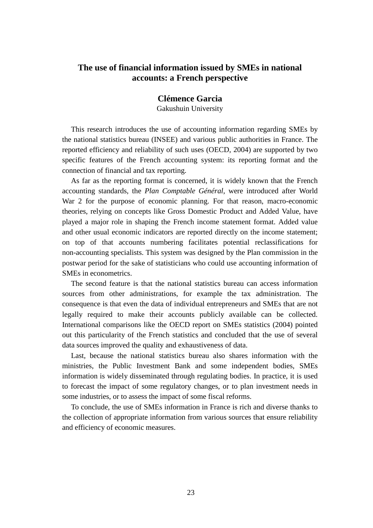## **The use of financial information issued by SMEs in national accounts: a French perspective**

#### **Clémence Garcia**

Gakushuin University

This research introduces the use of accounting information regarding SMEs by the national statistics bureau (INSEE) and various public authorities in France. The reported efficiency and reliability of such uses (OECD, 2004) are supported by two specific features of the French accounting system: its reporting format and the connection of financial and tax reporting.

As far as the reporting format is concerned, it is widely known that the French accounting standards, the *Plan Comptable Général*, were introduced after World War 2 for the purpose of economic planning. For that reason, macro-economic theories, relying on concepts like Gross Domestic Product and Added Value, have played a major role in shaping the French income statement format. Added value and other usual economic indicators are reported directly on the income statement; on top of that accounts numbering facilitates potential reclassifications for non-accounting specialists. This system was designed by the Plan commission in the postwar period for the sake of statisticians who could use accounting information of SMEs in econometrics.

The second feature is that the national statistics bureau can access information sources from other administrations, for example the tax administration. The consequence is that even the data of individual entrepreneurs and SMEs that are not legally required to make their accounts publicly available can be collected. International comparisons like the OECD report on SMEs statistics (2004) pointed out this particularity of the French statistics and concluded that the use of several data sources improved the quality and exhaustiveness of data.

Last, because the national statistics bureau also shares information with the ministries, the Public Investment Bank and some independent bodies, SMEs information is widely disseminated through regulating bodies. In practice, it is used to forecast the impact of some regulatory changes, or to plan investment needs in some industries, or to assess the impact of some fiscal reforms.

To conclude, the use of SMEs information in France is rich and diverse thanks to the collection of appropriate information from various sources that ensure reliability and efficiency of economic measures.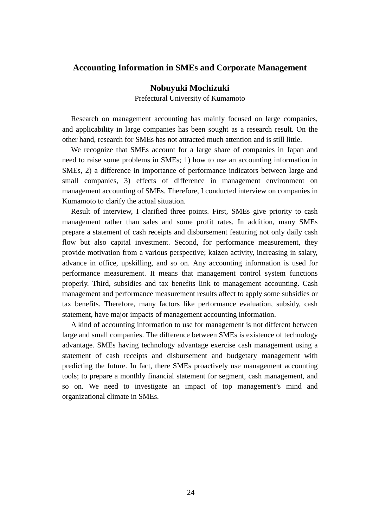#### **Accounting Information in SMEs and Corporate Management**

#### **Nobuyuki Mochizuki**

Prefectural University of Kumamoto

Research on management accounting has mainly focused on large companies, and applicability in large companies has been sought as a research result. On the other hand, research for SMEs has not attracted much attention and is still little.

We recognize that SMEs account for a large share of companies in Japan and need to raise some problems in SMEs; 1) how to use an accounting information in SMEs, 2) a difference in importance of performance indicators between large and small companies, 3) effects of difference in management environment on management accounting of SMEs. Therefore, I conducted interview on companies in Kumamoto to clarify the actual situation.

Result of interview, I clarified three points. First, SMEs give priority to cash management rather than sales and some profit rates. In addition, many SMEs prepare a [statement](https://eow.alc.co.jp/search?q=statement&ref=awlj) of [cash](https://eow.alc.co.jp/search?q=cash&ref=awlj) [receipts](https://eow.alc.co.jp/search?q=receipts&ref=awlj) and [disbursement](https://eow.alc.co.jp/search?q=disbursement&ref=awlj) featuring not only daily cash flow but also capital investment. Second, for performance measurement, they provide motivation from a various perspective; kaizen activity, increasing in salary, advance in office, upskilling, and so on. Any accounting information is used for performance measurement. It means that management control system functions properly. Third, subsidies and tax benefits link to management accounting. Cash management and performance measurement results affect to apply some subsidies or tax benefits. Therefore, many factors like performance evaluation, subsidy, cash statement, have major impacts of management accounting information.

A kind of accounting information to use for management is not different between large and small companies. The difference between SMEs is existence of technology advantage. SMEs having technology advantage exercise cash management using a [statement](https://eow.alc.co.jp/search?q=statement&ref=awlj) of [cash](https://eow.alc.co.jp/search?q=cash&ref=awlj) [receipts](https://eow.alc.co.jp/search?q=receipts&ref=awlj) and [disbursement](https://eow.alc.co.jp/search?q=disbursement&ref=awlj) and budgetary management with predicting the future. In fact, there SMEs proactively use management accounting tools; to prepare a monthly financial statement for segment, cash management, and so on. We need to investigate an impact of top management's mind and organizational climate in SMEs.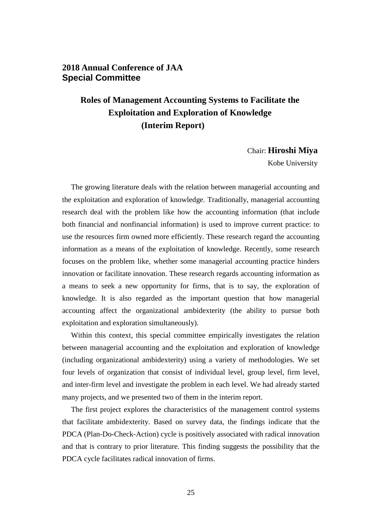## **2018 Annual Conference of JAA Special Committee**

# **Roles of Management Accounting Systems to Facilitate the Exploitation and Exploration of Knowledge (Interim Report)**

#### Chair: **Hiroshi Miya**

Kobe University

The growing literature deals with the relation between managerial accounting and the exploitation and exploration of knowledge. Traditionally, managerial accounting research deal with the problem like how the accounting information (that include both financial and nonfinancial information) is used to improve current practice: to use the resources firm owned more efficiently. These research regard the accounting information as a means of the exploitation of knowledge. Recently, some research focuses on the problem like, whether some managerial accounting practice hinders innovation or facilitate innovation. These research regards accounting information as a means to seek a new opportunity for firms, that is to say, the exploration of knowledge. It is also regarded as the important question that how managerial accounting affect the organizational ambidexterity (the ability to pursue both exploitation and exploration simultaneously).

Within this context, this special committee empirically investigates the relation between managerial accounting and the exploitation and exploration of knowledge (including organizational ambidexterity) using a variety of methodologies. We set four levels of organization that consist of individual level, group level, firm level, and inter-firm level and investigate the problem in each level. We had already started many projects, and we presented two of them in the interim report.

The first project explores the characteristics of the management control systems that facilitate ambidexterity. Based on survey data, the findings indicate that the PDCA (Plan-Do-Check-Action) cycle is positively associated with radical innovation and that is contrary to prior literature. This finding suggests the possibility that the PDCA cycle facilitates radical innovation of firms.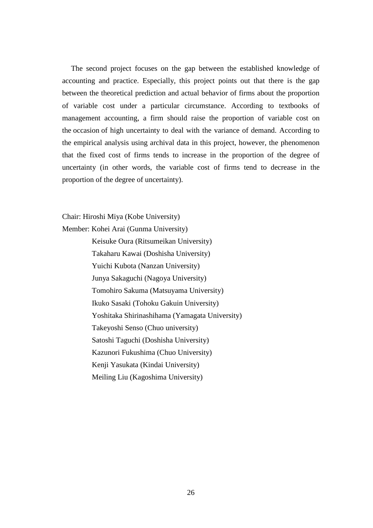The second project focuses on the gap between the established knowledge of accounting and practice. Especially, this project points out that there is the gap between the theoretical prediction and actual behavior of firms about the proportion of variable cost under a particular circumstance. According to textbooks of management accounting, a firm should raise the proportion of variable cost on the occasion of high uncertainty to deal with the variance of demand. According to the empirical analysis using archival data in this project, however, the phenomenon that the fixed cost of firms tends to increase in the proportion of the degree of uncertainty (in other words, the variable cost of firms tend to decrease in the proportion of the degree of uncertainty).

Chair: Hiroshi Miya (Kobe University)

Member: Kohei Arai (Gunma University)

Keisuke Oura (Ritsumeikan University) Takaharu Kawai (Doshisha University) Yuichi Kubota (Nanzan University) Junya Sakaguchi (Nagoya University) Tomohiro Sakuma (Matsuyama University) Ikuko Sasaki (Tohoku Gakuin University) Yoshitaka Shirinashihama (Yamagata University) Takeyoshi Senso (Chuo university) Satoshi Taguchi (Doshisha University) Kazunori Fukushima (Chuo University) Kenji Yasukata (Kindai University) Meiling Liu (Kagoshima University)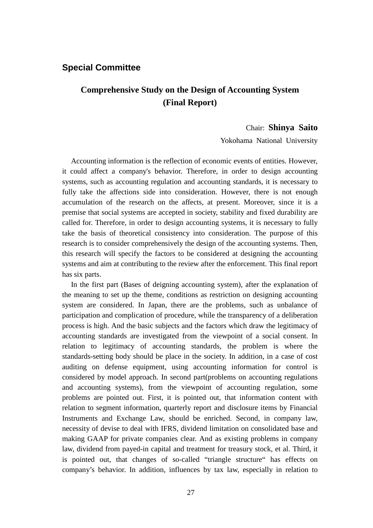## **Special Committee**

## **Comprehensive Study on the Design of Accounting System (Final Report)**

#### Chair: **Shinya Saito**

Yokohama National University

Accounting information is the reflection of economic events of entities. However, it could affect a company's behavior. Therefore, in order to design accounting systems, such as accounting regulation and accounting standards, it is necessary to fully take the affections side into consideration. However, there is not enough accumulation of the research on the affects, at present. Moreover, since it is a premise that social systems are accepted in society, stability and fixed durability are called for. Therefore, in order to design accounting systems, it is necessary to fully take the basis of theoretical consistency into consideration. The purpose of this research is to consider comprehensively the design of the accounting systems. Then, this research will specify the factors to be considered at designing the accounting systems and aim at contributing to the review after the enforcement. This final report has six parts.

In the first part (Bases of deigning accounting system), after the explanation of the meaning to set up the theme, conditions as restriction on designing accounting system are considered. In Japan, there are the problems, such as unbalance of participation and complication of procedure, while the transparency of a deliberation process is high. And the basic subjects and the factors which draw the legitimacy of accounting standards are investigated from the viewpoint of a social consent. In relation to legitimacy of accounting standards, the problem is where the standards-setting body should be place in the society. In addition, in a case of cost auditing on defense equipment, using accounting information for control is considered by model approach. In second part(problems on accounting regulations and accounting systems), from the viewpoint of accounting regulation, some problems are pointed out. First, it is pointed out, that information content with relation to segment information, quarterly report and disclosure items by Financial Instruments and Exchange Law, should be enriched. Second, in company law, necessity of devise to deal with IFRS, dividend limitation on consolidated base and making GAAP for private companies clear. And as existing problems in company law, dividend from payed-in capital and treatment for treasury stock, et al. Third, it is pointed out, that changes of so-called "triangle structure" has effects on company's behavior. In addition, influences by tax law, especially in relation to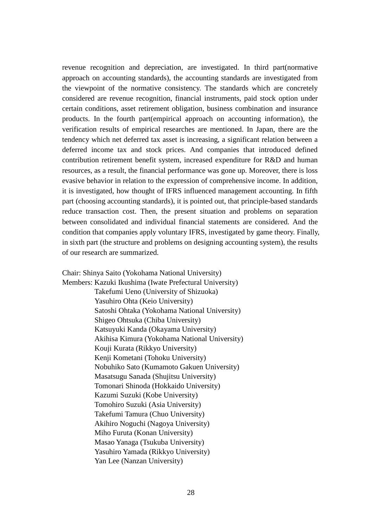revenue recognition and depreciation, are investigated. In third part(normative approach on accounting standards), the accounting standards are investigated from the viewpoint of the normative consistency. The standards which are concretely considered are revenue recognition, financial instruments, paid stock option under certain conditions, asset retirement obligation, business combination and insurance products. In the fourth part(empirical approach on accounting information), the verification results of empirical researches are mentioned. In Japan, there are the tendency which net deferred tax asset is increasing, a significant relation between a deferred income tax and stock prices. And companies that introduced defined contribution retirement benefit system, increased expenditure for R&D and human resources, as a result, the financial performance was gone up. Moreover, there is loss evasive behavior in relation to the expression of comprehensive income. In addition, it is investigated, how thought of IFRS influenced management accounting. In fifth part (choosing accounting standards), it is pointed out, that principle-based standards reduce transaction cost. Then, the present situation and problems on separation between consolidated and individual financial statements are considered. And the condition that companies apply voluntary IFRS, investigated by game theory. Finally, in sixth part (the structure and problems on designing accounting system), the results of our research are summarized.

Chair: Shinya Saito (Yokohama National University) Members: Kazuki Ikushima (Iwate Prefectural University) Takefumi Ueno (University of Shizuoka) Yasuhiro Ohta (Keio University) Satoshi Ohtaka (Yokohama National University) Shigeo Ohtsuka (Chiba University) Katsuyuki Kanda (Okayama University) Akihisa Kimura (Yokohama National University) Kouji Kurata (Rikkyo University) Kenji Kometani (Tohoku University) Nobuhiko Sato (Kumamoto Gakuen University) Masatsugu Sanada (Shujitsu University) Tomonari Shinoda (Hokkaido University) Kazumi Suzuki (Kobe University) Tomohiro Suzuki (Asia University) Takefumi Tamura (Chuo University) Akihiro Noguchi (Nagoya University) Miho Furuta (Konan University) Masao Yanaga (Tsukuba University) Yasuhiro Yamada (Rikkyo University) Yan Lee (Nanzan University)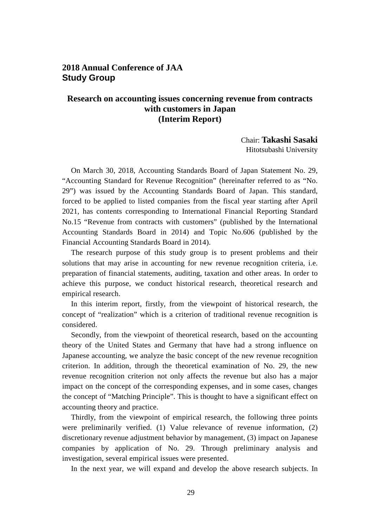## **2018 Annual Conference of JAA Study Group**

## **Research on accounting issues concerning revenue from contracts with customers in Japan (Interim Report)**

Chair: **Takashi Sasaki** Hitotsubashi University

On March 30, 2018, Accounting Standards Board of Japan Statement No. 29, "Accounting Standard for Revenue Recognition" (hereinafter referred to as "No. 29") was issued by the Accounting Standards Board of Japan. This standard, forced to be applied to listed companies from the fiscal year starting after April 2021, has contents corresponding to International Financial Reporting Standard No.15 "Revenue from contracts with customers" (published by the International Accounting Standards Board in 2014) and Topic No.606 (published by the Financial Accounting Standards Board in 2014).

The research purpose of this study group is to present problems and their solutions that may arise in accounting for new revenue recognition criteria, i.e. preparation of financial statements, auditing, taxation and other areas. In order to achieve this purpose, we conduct historical research, theoretical research and empirical research.

In this interim report, firstly, from the viewpoint of historical research, the concept of "realization" which is a criterion of traditional revenue recognition is considered.

Secondly, from the viewpoint of theoretical research, based on the accounting theory of the United States and Germany that have had a strong influence on Japanese accounting, we analyze the basic concept of the new revenue recognition criterion. In addition, through the theoretical examination of No. 29, the new revenue recognition criterion not only affects the revenue but also has a major impact on the concept of the corresponding expenses, and in some cases, changes the concept of "Matching Principle". This is thought to have a significant effect on accounting theory and practice.

Thirdly, from the viewpoint of empirical research, the following three points were preliminarily verified. (1) Value relevance of revenue information, (2) discretionary revenue adjustment behavior by management, (3) impact on Japanese companies by application of No. 29. Through preliminary analysis and investigation, several empirical issues were presented.

In the next year, we will expand and develop the above research subjects. In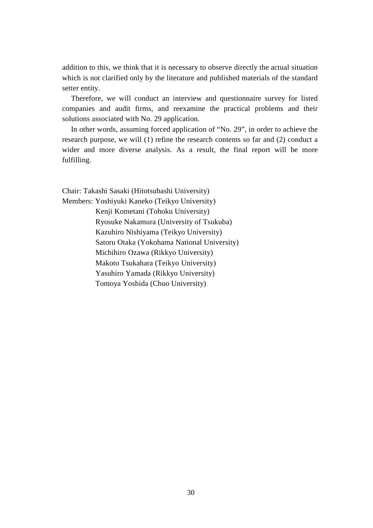addition to this, we think that it is necessary to observe directly the actual situation which is not clarified only by the literature and published materials of the standard setter entity.

Therefore, we will conduct an interview and questionnaire survey for listed companies and audit firms, and reexamine the practical problems and their solutions associated with No. 29 application.

In other words, assuming forced application of "No. 29", in order to achieve the research purpose, we will (1) refine the research contents so far and (2) conduct a wider and more diverse analysis. As a result, the final report will be more fulfilling.

Chair: Takashi Sasaki (Hitotsubashi University) Members: Yoshiyuki Kaneko (Teikyo University) Kenji Kometani (Tohoku University) Ryosuke Nakamura (University of Tsukuba) Kazuhiro Nishiyama (Teikyo University) Satoru Otaka (Yokohama National University) Michihiro Ozawa (Rikkyo University) Makoto Tsukahara (Teikyo University) Yasuhiro Yamada (Rikkyo University) Tomoya Yoshida (Chuo University)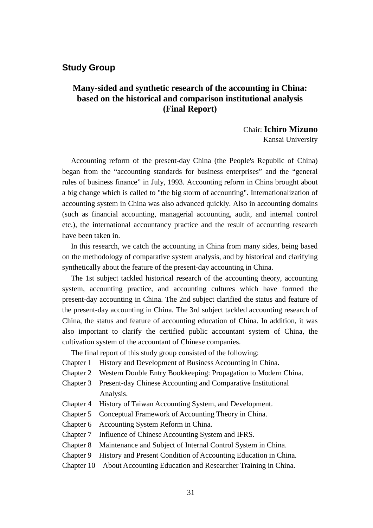## **Study Group**

## **Many-sided and synthetic research of the accounting in China: based on the historical and comparison institutional analysis (Final Report)**

Chair: **Ichiro Mizuno** Kansai University

Accounting reform of the present-day China (the People's Republic of China) began from the "accounting standards for business enterprises" and the "general rules of business finance" in July, 1993. Accounting reform in China brought about a big change which is called to "the big storm of accounting". Internationalization of accounting system in China was also advanced quickly. Also in accounting domains (such as financial accounting, managerial accounting, audit, and internal control etc.), the international accountancy practice and the result of accounting research have been taken in.

In this research, we catch the accounting in China from many sides, being based on the methodology of comparative system analysis, and by historical and clarifying synthetically about the feature of the present-day accounting in China.

The 1st subject tackled historical research of the accounting theory, accounting system, accounting practice, and accounting cultures which have formed the present-day accounting in China. The 2nd subject clarified the status and feature of the present-day accounting in China. The 3rd subject tackled accounting research of China, the status and feature of accounting education of China. In addition, it was also important to clarify the certified public accountant system of China, the cultivation system of the accountant of Chinese companies.

The final report of this study group consisted of the following:

- Chapter 1 History and Development of Business Accounting in China.
- Chapter 2 Western Double Entry Bookkeeping: Propagation to Modern China.
- Chapter 3 Present-day Chinese Accounting and Comparative Institutional Analysis.
- Chapter 4 History of Taiwan Accounting System, and Development.
- Chapter 5 Conceptual Framework of Accounting Theory in China.
- Chapter 6 Accounting System Reform in China.
- Chapter 7 Influence of Chinese Accounting System and IFRS.
- Chapter 8 Maintenance and Subject of Internal Control System in China.
- Chapter 9 History and Present Condition of Accounting Education in China.
- Chapter 10 About Accounting Education and Researcher Training in China.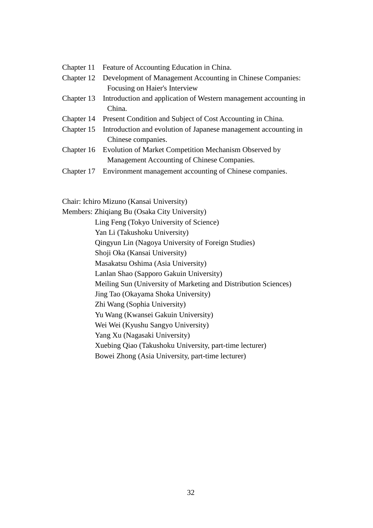| Chapter 11 Feature of Accounting Education in China.                        |
|-----------------------------------------------------------------------------|
| Chapter 12 Development of Management Accounting in Chinese Companies:       |
| Focusing on Haier's Interview                                               |
| Chapter 13 Introduction and application of Western management accounting in |
| China.                                                                      |
| Chapter 14 Present Condition and Subject of Cost Accounting in China.       |
| Chapter 15 Introduction and evolution of Japanese management accounting in  |
| Chinese companies.                                                          |
| Chapter 16 Evolution of Market Competition Mechanism Observed by            |
| Management Accounting of Chinese Companies.                                 |
|                                                                             |

Chapter 17 Environment management accounting of Chinese companies.

Chair: Ichiro Mizuno (Kansai University)

Members: Zhiqiang Bu (Osaka City University) Ling Feng (Tokyo University of Science) Yan Li (Takushoku University) Qingyun Lin (Nagoya University of Foreign Studies) Shoji Oka (Kansai University) Masakatsu Oshima (Asia University) Lanlan Shao (Sapporo Gakuin University) Meiling Sun (University of Marketing and Distribution Sciences) Jing Tao (Okayama Shoka University) Zhi Wang (Sophia University) Yu Wang (Kwansei Gakuin University) Wei Wei (Kyushu Sangyo University) Yang Xu (Nagasaki University) Xuebing Qiao (Takushoku University, part-time lecturer) Bowei Zhong (Asia University, part-time lecturer)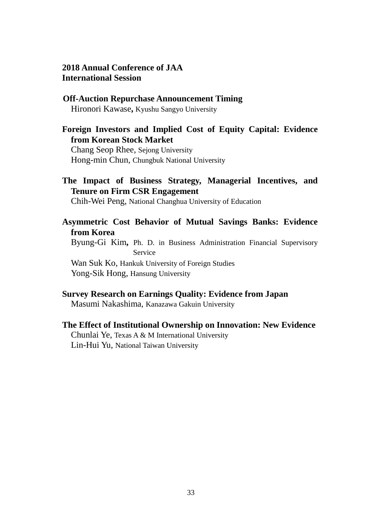## **2018 Annual Conference of JAA International Session**

**Off-Auction Repurchase Announcement Timing** Hironori Kawase**,** Kyushu Sangyo University

## **Foreign Investors and Implied Cost of Equity Capital: Evidence from Korean Stock Market**

Chang Seop Rhee, Sejong University Hong-min Chun, Chungbuk National University

## **The Impact of Business Strategy, Managerial Incentives, and Tenure on Firm CSR Engagement**

Chih-Wei Peng, National Changhua University of Education

## **Asymmetric Cost Behavior of Mutual Savings Banks: Evidence from Korea**

Byung-Gi Kim**,** Ph. D. in Business Administration Financial Supervisory Service

Wan Suk Ko, Hankuk University of Foreign Studies Yong-Sik Hong, Hansung University

## **Survey Research on Earnings Quality: Evidence from Japan**

Masumi Nakashima, Kanazawa Gakuin University

## **The Effect of Institutional Ownership on Innovation: New Evidence** Chunlai Ye, Texas A & M International University Lin-Hui Yu, National Taiwan University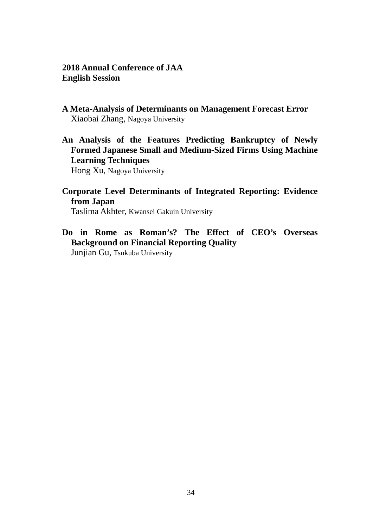## **2018 Annual Conference of JAA English Session**

- **A Meta-Analysis of Determinants on Management Forecast Error** Xiaobai Zhang, Nagoya University
- **An Analysis of the Features Predicting Bankruptcy of Newly Formed Japanese Small and Medium-Sized Firms Using Machine Learning Techniques**

Hong Xu, Nagoya University

**Corporate Level Determinants of Integrated Reporting: Evidence from Japan**

Taslima Akhter, Kwansei Gakuin University

**Do in Rome as Roman's? The Effect of CEO's Overseas Background on Financial Reporting Quality**

Junjian Gu, Tsukuba University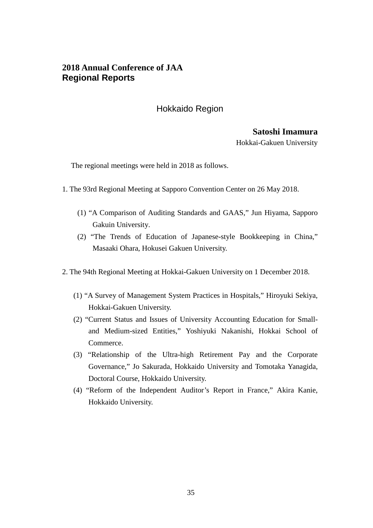## **2018 Annual Conference of JAA Regional Reports**

## Hokkaido Region

# **Satoshi Imamura**

Hokkai-Gakuen University

The regional meetings were held in 2018 as follows.

- 1. The 93rd Regional Meeting at Sapporo Convention Center on 26 May 2018.
	- (1) "A Comparison of Auditing Standards and GAAS," Jun Hiyama, Sapporo Gakuin University.
	- (2) "The Trends of Education of Japanese-style Bookkeeping in China," Masaaki Ohara, Hokusei Gakuen University.
- 2. The 94th Regional Meeting at Hokkai-Gakuen University on 1 December 2018.
	- (1) "A Survey of Management System Practices in Hospitals," Hiroyuki Sekiya, Hokkai-Gakuen University.
	- (2) "Current Status and Issues of University Accounting Education for Smalland Medium-sized Entities," Yoshiyuki Nakanishi, Hokkai School of Commerce.
	- (3) "Relationship of the Ultra-high Retirement Pay and the Corporate Governance," Jo Sakurada, Hokkaido University and Tomotaka Yanagida, Doctoral Course, Hokkaido University.
	- (4) "Reform of the Independent Auditor's Report in France," Akira Kanie, Hokkaido University.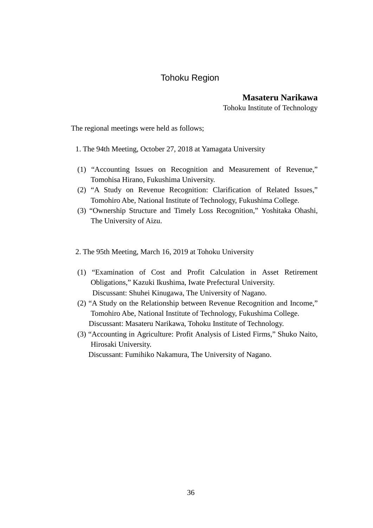## Tohoku Region

**Masateru Narikawa**

Tohoku Institute of Technology

The regional meetings were held as follows;

- 1. The 94th Meeting, October 27, 2018 at Yamagata University
- (1) "Accounting Issues on Recognition and Measurement of Revenue," Tomohisa Hirano, Fukushima University.
- (2) "A Study on Revenue Recognition: Clarification of Related Issues," Tomohiro Abe, National Institute of Technology, Fukushima College.
- (3) "Ownership Structure and Timely Loss Recognition," Yoshitaka Ohashi, The University of Aizu.
- 2. The 95th Meeting, March 16, 2019 at Tohoku University
- (1) "Examination of Cost and Profit Calculation in Asset Retirement Obligations," Kazuki Ikushima, Iwate Prefectural University. Discussant: Shuhei Kinugawa, The University of Nagano.
- (2) "A Study on the Relationship between Revenue Recognition and Income," Tomohiro Abe, National Institute of Technology, Fukushima College. Discussant: Masateru Narikawa, Tohoku Institute of Technology.
- (3) "Accounting in Agriculture: Profit Analysis of Listed Firms," Shuko Naito, Hirosaki University. Discussant: Fumihiko Nakamura, The University of Nagano.

36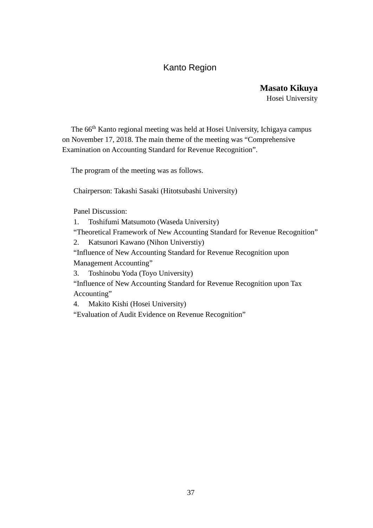## Kanto Region

**Masato Kikuya** Hosei University

The 66th Kanto regional meeting was held at Hosei University, Ichigaya campus on November 17, 2018. The main theme of the meeting was "Comprehensive Examination on Accounting Standard for Revenue Recognition".

The program of the meeting was as follows.

Chairperson: Takashi Sasaki (Hitotsubashi University)

Panel Discussion:

1. Toshifumi Matsumoto (Waseda University)

"Theoretical Framework of New Accounting Standard for Revenue Recognition"

2. Katsunori Kawano (Nihon Universtiy)

"Influence of New Accounting Standard for Revenue Recognition upon

Management Accounting"

3. Toshinobu Yoda (Toyo University)

"Influence of New Accounting Standard for Revenue Recognition upon Tax Accounting"

4. Makito Kishi (Hosei University)

"Evaluation of Audit Evidence on Revenue Recognition"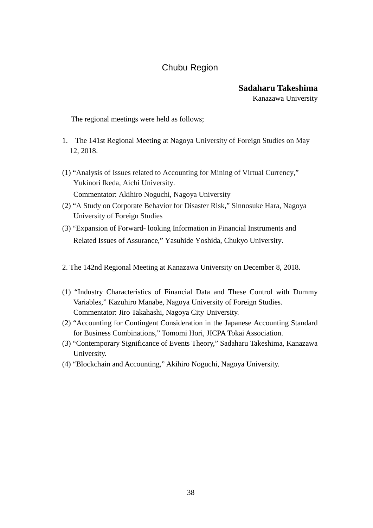## Chubu Region

## **Sadaharu Takeshima**

Kanazawa University

The regional meetings were held as follows;

- 1. The 141st Regional Meeting at Nagoya University of Foreign Studies on May 12, 2018.
- (1) "Analysis of Issues related to Accounting for Mining of Virtual Currency," Yukinori Ikeda, Aichi University. Commentator: Akihiro Noguchi, Nagoya University
- (2) "A Study on Corporate Behavior for Disaster Risk," Sinnosuke Hara, Nagoya University of Foreign Studies
- (3) "Expansion of Forward- looking Information in Financial Instruments and Related Issues of Assurance," Yasuhide Yoshida, Chukyo University.
- 2. The 142nd Regional Meeting at Kanazawa University on December 8, 2018.
- (1) "Industry Characteristics of Financial Data and These Control with Dummy Variables," Kazuhiro Manabe, Nagoya University of Foreign Studies. Commentator: Jiro Takahashi, Nagoya City University.
- (2) "Accounting for Contingent Consideration in the Japanese Accounting Standard for Business Combinations," Tomomi Hori, JICPA Tokai Association.
- (3) "Contemporary Significance of Events Theory," Sadaharu Takeshima, Kanazawa University.
- (4) "Blockchain and Accounting," Akihiro Noguchi, Nagoya University.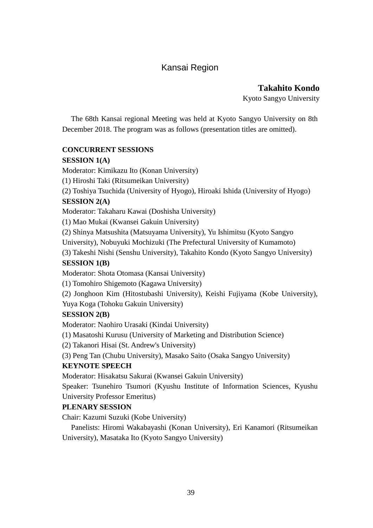## Kansai Region

**Takahito Kondo**

Kyoto Sangyo University

The 68th Kansai regional Meeting was held at Kyoto Sangyo University on 8th December 2018. The program was as follows (presentation titles are omitted).

## **CONCURRENT SESSIONS**

## **SESSION 1(A)**

Moderator: Kimikazu Ito (Konan University)

(1) Hiroshi Taki (Ritsumeikan University)

(2) Toshiya Tsuchida (University of Hyogo), Hiroaki Ishida (University of Hyogo)

## **SESSION 2(A)**

Moderator: Takaharu Kawai (Doshisha University)

(1) Mao Mukai (Kwansei Gakuin University)

(2) Shinya Matsushita (Matsuyama University), Yu Ishimitsu (Kyoto Sangyo

University), Nobuyuki Mochizuki (The Prefectural University of Kumamoto)

(3) Takeshi Nishi (Senshu University), Takahito Kondo (Kyoto Sangyo University)

## **SESSION 1(B)**

Moderator: Shota Otomasa (Kansai University)

(1) Tomohiro Shigemoto (Kagawa University)

(2) Jonghoon Kim (Hitostubashi University), Keishi Fujiyama (Kobe University), Yuya Koga (Tohoku Gakuin University)

## **SESSION 2(B)**

Moderator: Naohiro Urasaki (Kindai University)

(1) Masatoshi Kurusu (University of Marketing and Distribution Science)

(2) Takanori Hisai (St. Andrew's University)

(3) Peng Tan (Chubu University), Masako Saito (Osaka Sangyo University)

## **KEYNOTE SPEECH**

Moderator: Hisakatsu Sakurai (Kwansei Gakuin University)

Speaker: Tsunehiro Tsumori (Kyushu Institute of Information Sciences, Kyushu University Professor Emeritus)

## **PLENARY SESSION**

Chair: Kazumi Suzuki (Kobe University)

Panelists: Hiromi Wakabayashi (Konan University), Eri Kanamori (Ritsumeikan University), Masataka Ito (Kyoto Sangyo University)